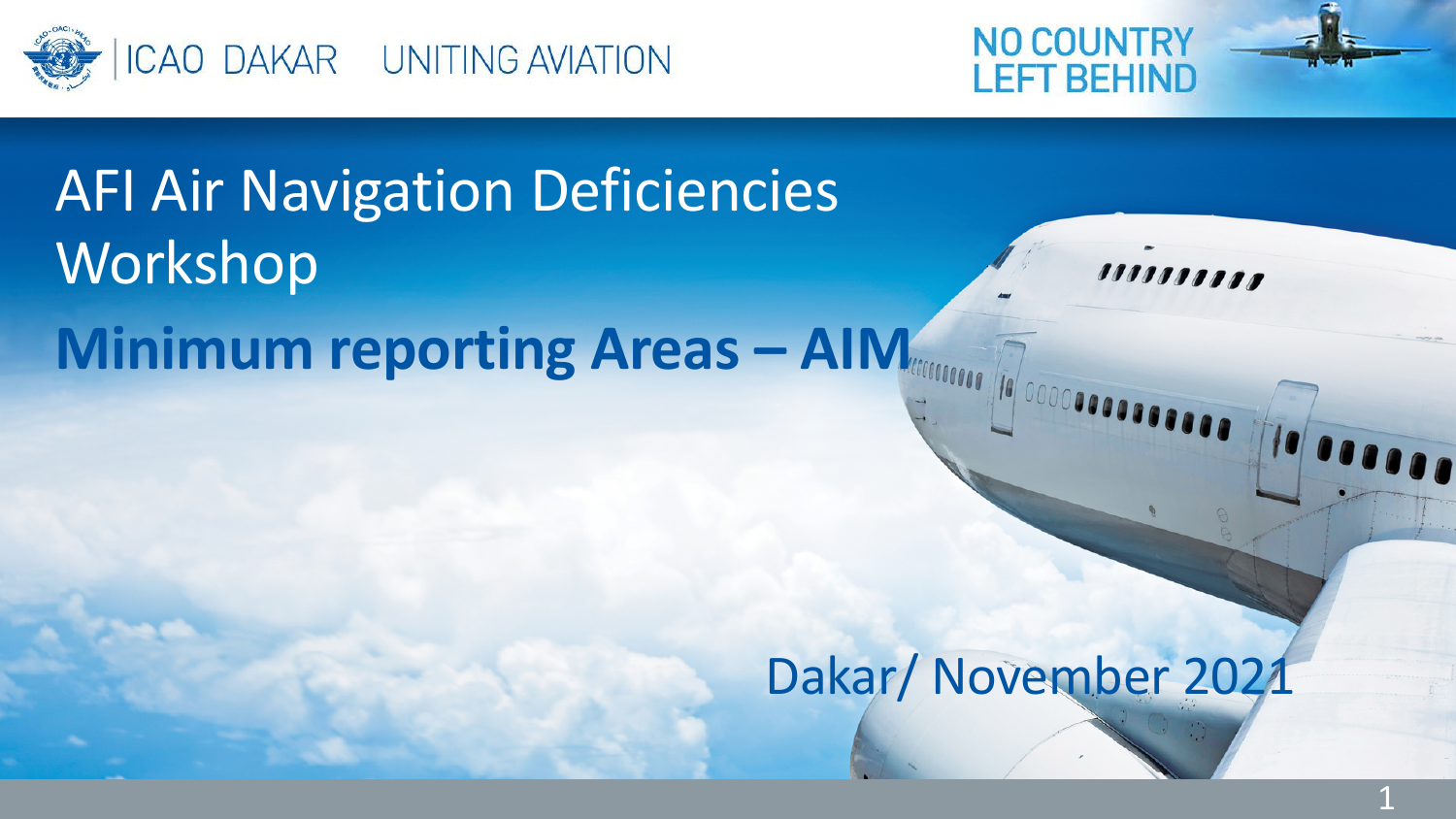



# **Minimum reporting Areas – AIM** AFI Air Navigation Deficiencies **Workshop**

Dakar/ November 2021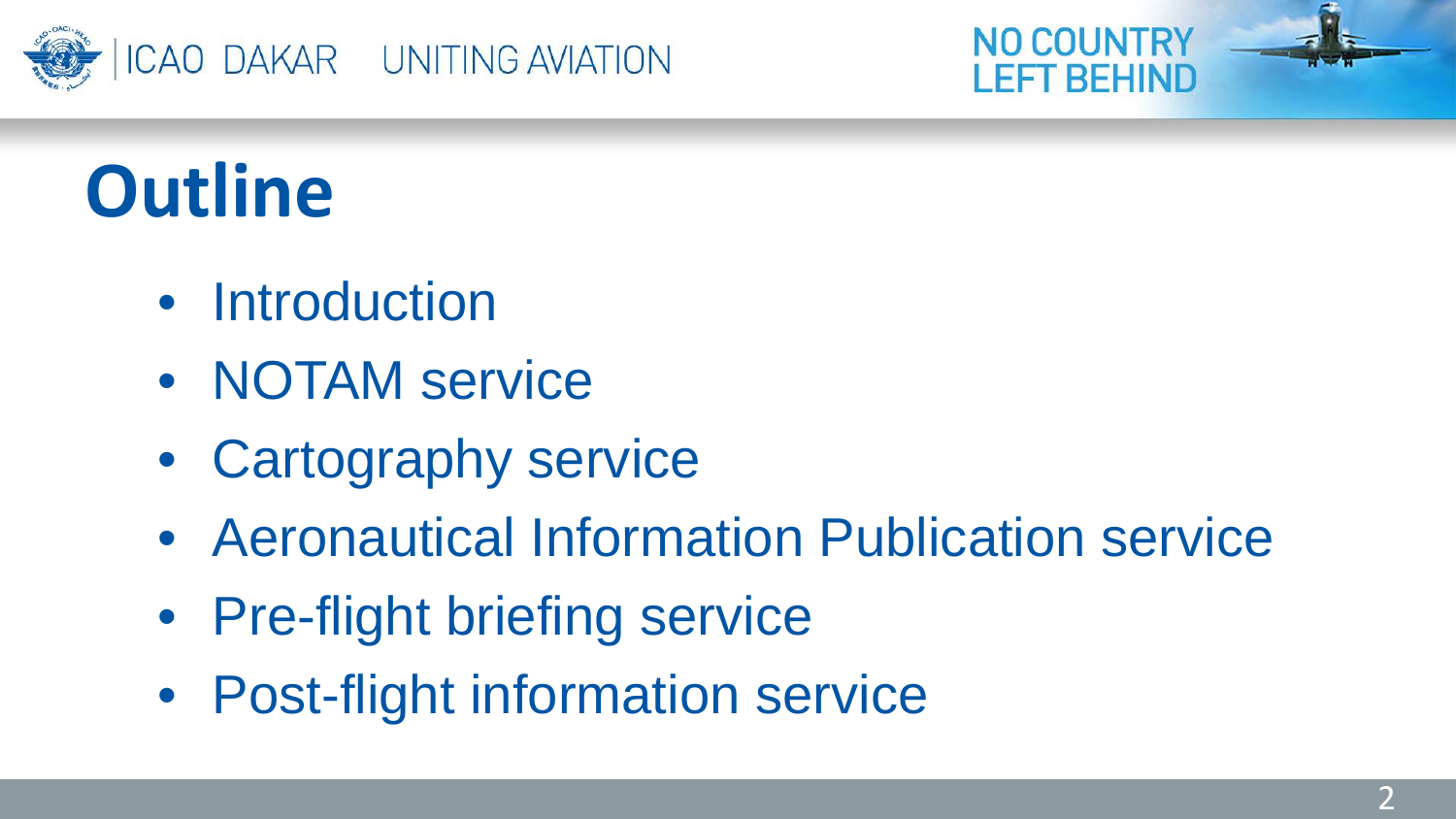



# **Outline**

- Introduction
- NOTAM service
- Cartography service
- Aeronautical Information Publication service
- Pre-flight briefing service
- Post-flight information service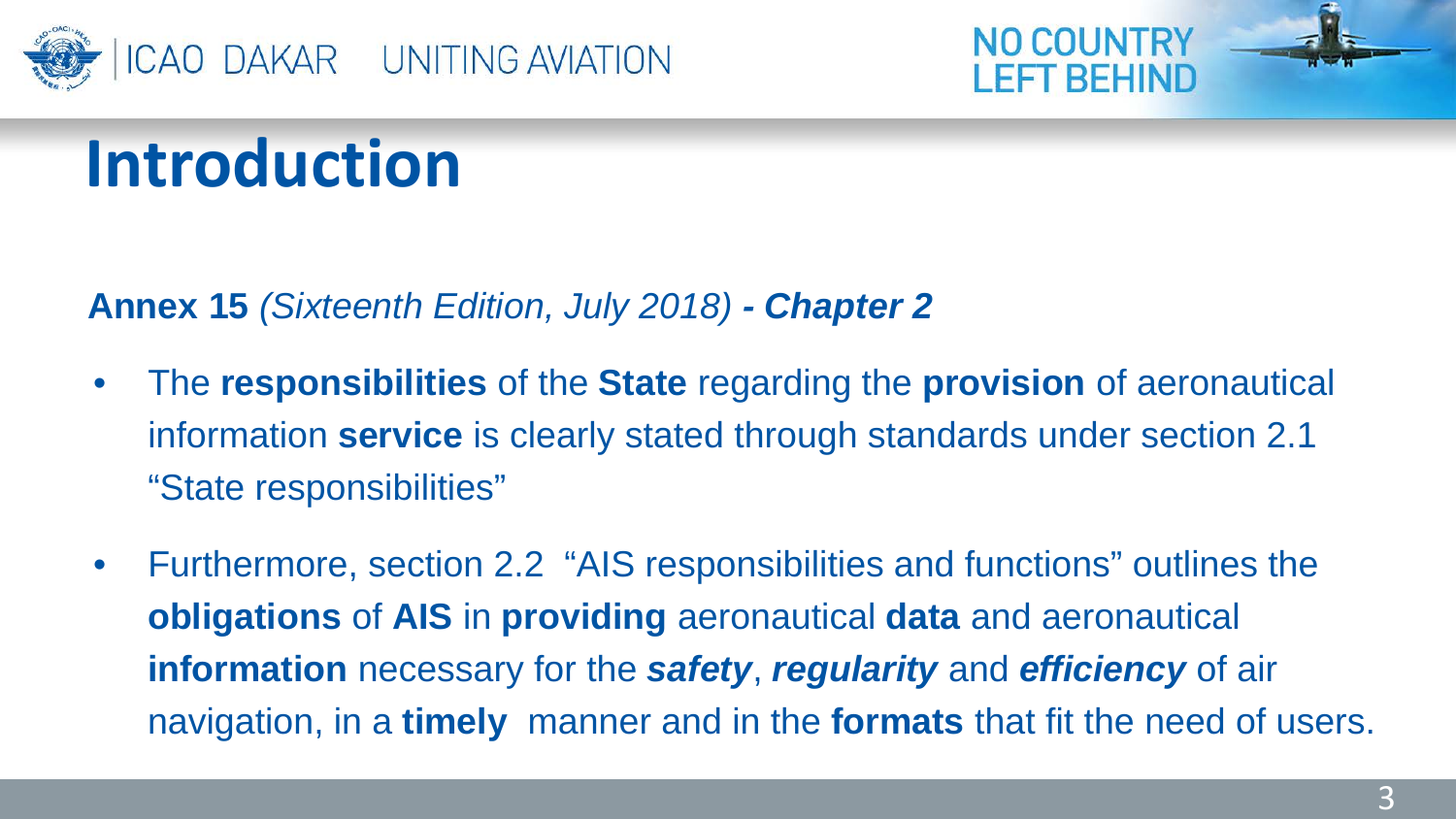



**Annex 15** *(Sixteenth Edition, July 2018) - Chapter 2*

- The **responsibilities** of the **State** regarding the **provision** of aeronautical information **service** is clearly stated through standards under section 2.1 "State responsibilities"
- Furthermore, section 2.2 "AIS responsibilities and functions" outlines the **obligations** of **AIS** in **providing** aeronautical **data** and aeronautical **information** necessary for the *safety*, *regularity* and *efficiency* of air navigation, in a **timely** manner and in the **formats** that fit the need of users.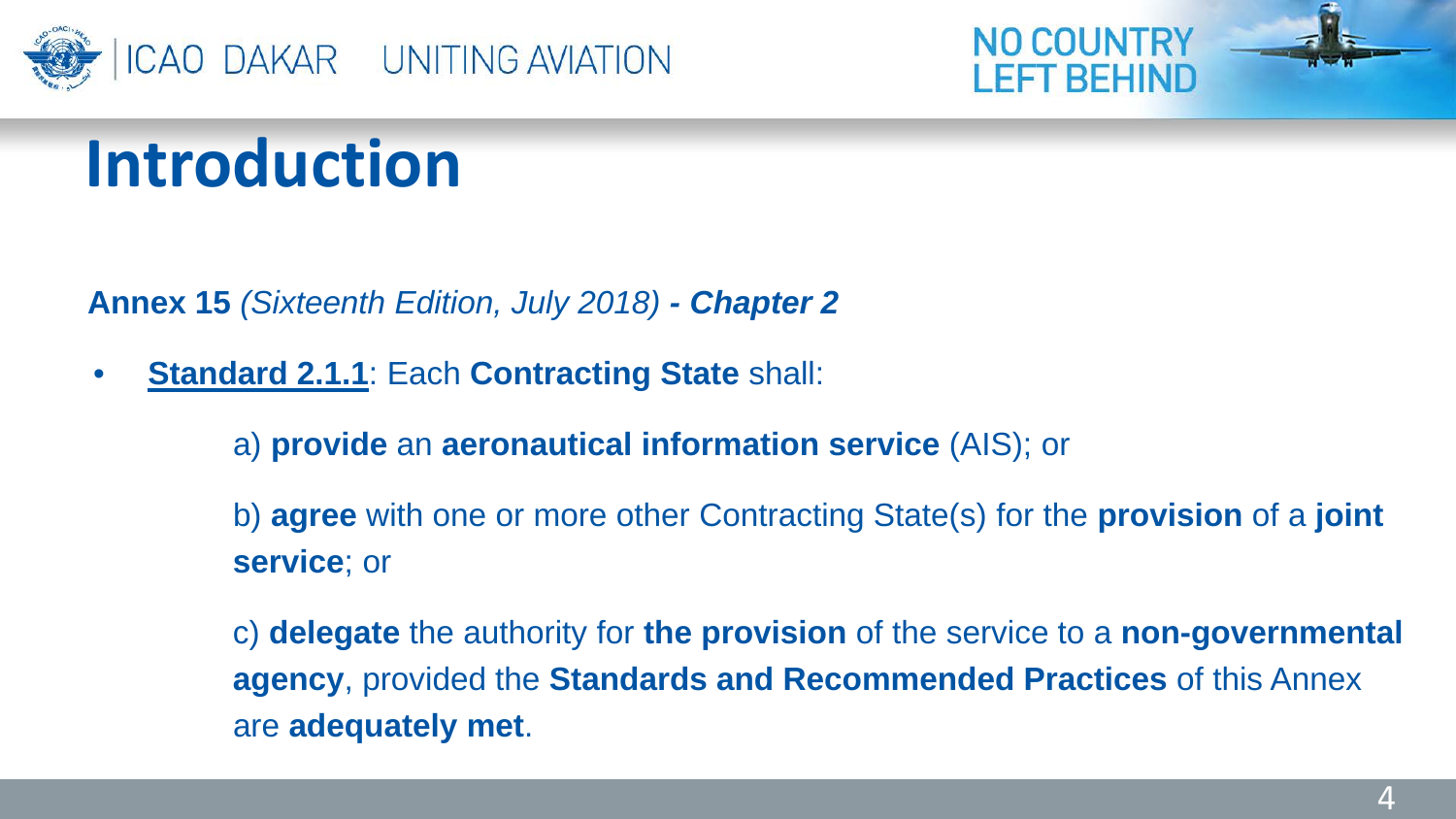



**Annex 15** *(Sixteenth Edition, July 2018) - Chapter 2*

• **Standard 2.1.1**: Each **Contracting State** shall:

a) **provide** an **aeronautical information service** (AIS); or

b) **agree** with one or more other Contracting State(s) for the **provision** of a **joint service**; or

c) **delegate** the authority for **the provision** of the service to a **non-governmental agency**, provided the **Standards and Recommended Practices** of this Annex are **adequately met**.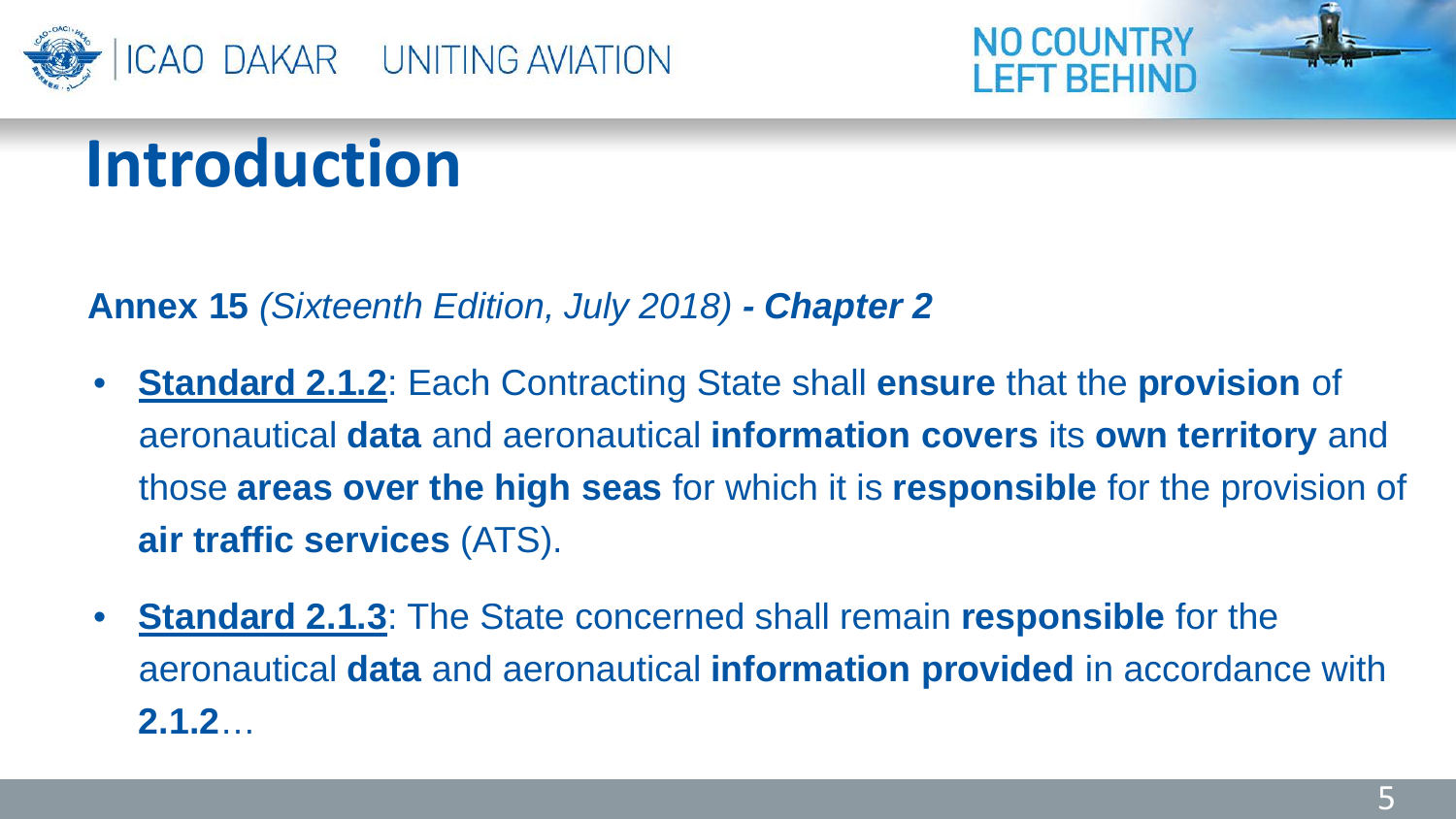



**Annex 15** *(Sixteenth Edition, July 2018) - Chapter 2*

- **Standard 2.1.2**: Each Contracting State shall **ensure** that the **provision** of aeronautical **data** and aeronautical **information covers** its **own territory** and those **areas over the high seas** for which it is **responsible** for the provision of **air traffic services** (ATS).
- **Standard 2.1.3**: The State concerned shall remain **responsible** for the aeronautical **data** and aeronautical **information provided** in accordance with **2.1.2**…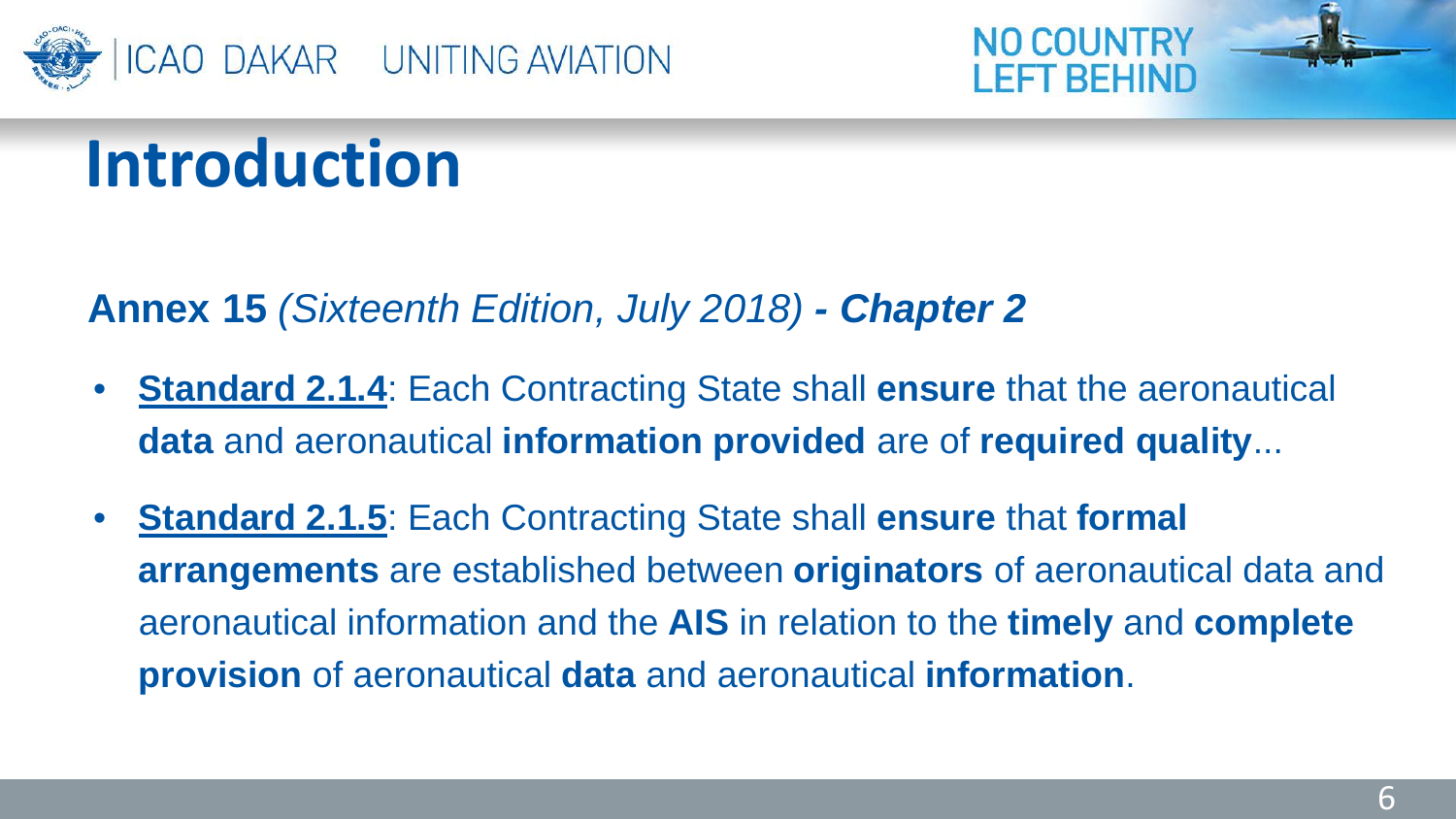



#### **Annex 15** *(Sixteenth Edition, July 2018) - Chapter 2*

- **Standard 2.1.4**: Each Contracting State shall **ensure** that the aeronautical **data** and aeronautical **information provided** are of **required quality**...
- **Standard 2.1.5**: Each Contracting State shall **ensure** that **formal arrangements** are established between **originators** of aeronautical data and aeronautical information and the **AIS** in relation to the **timely** and **complete provision** of aeronautical **data** and aeronautical **information**.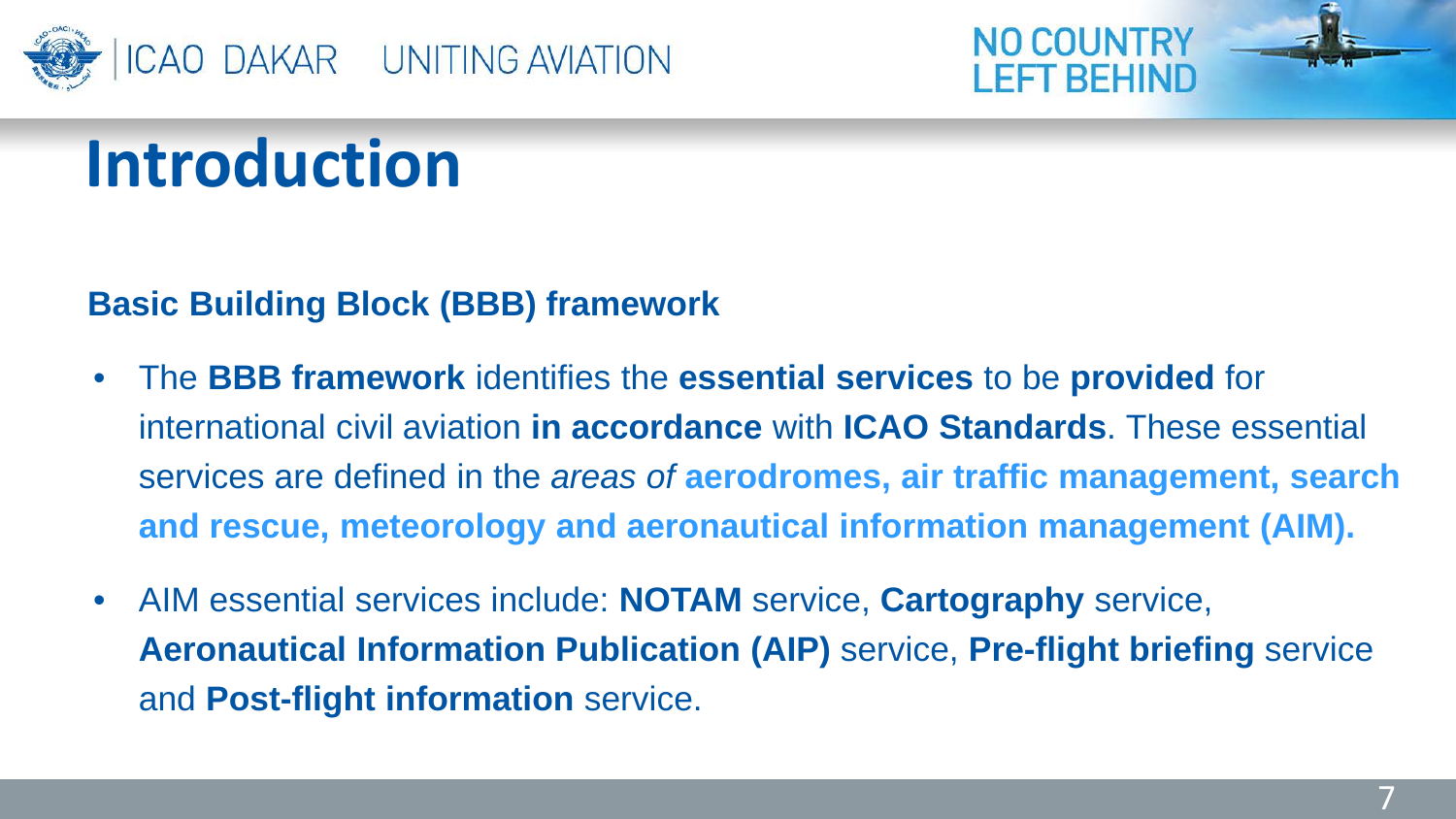



#### **Basic Building Block (BBB) framework**

- The **BBB framework** identifies the **essential services** to be **provided** for international civil aviation **in accordance** with **ICAO Standards**. These essential services are defined in the *areas of* **aerodromes, air traffic management, search and rescue, meteorology and aeronautical information management (AIM).**
- AIM essential services include: **NOTAM** service, **Cartography** service, **Aeronautical Information Publication (AIP)** service, **Pre-flight briefing** service and **Post-flight information** service.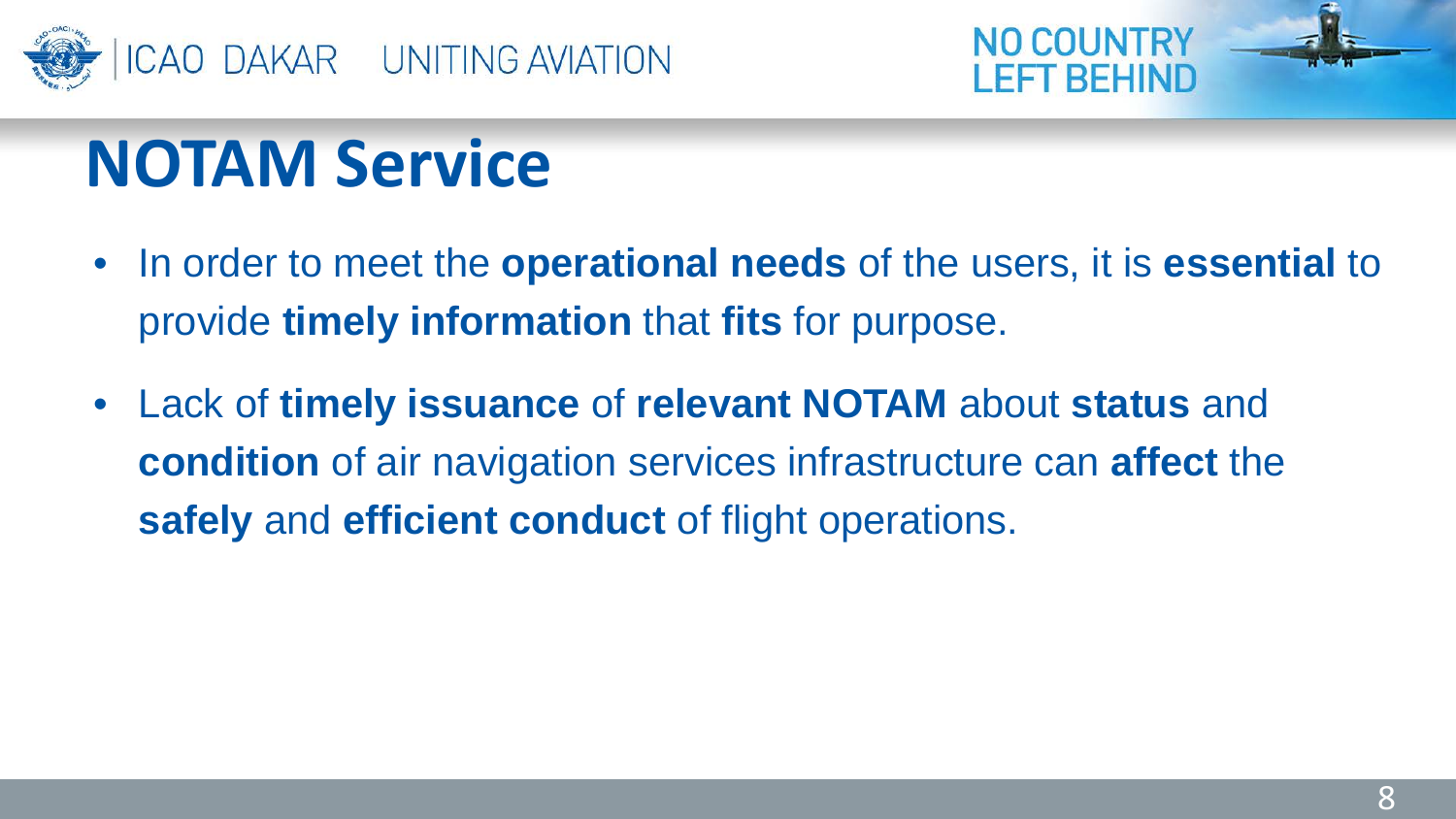



## **NOTAM Service**

- In order to meet the **operational needs** of the users, it is **essential** to provide **timely information** that **fits** for purpose.
- Lack of **timely issuance** of **relevant NOTAM** about **status** and **condition** of air navigation services infrastructure can **affect** the **safely** and **efficient conduct** of flight operations.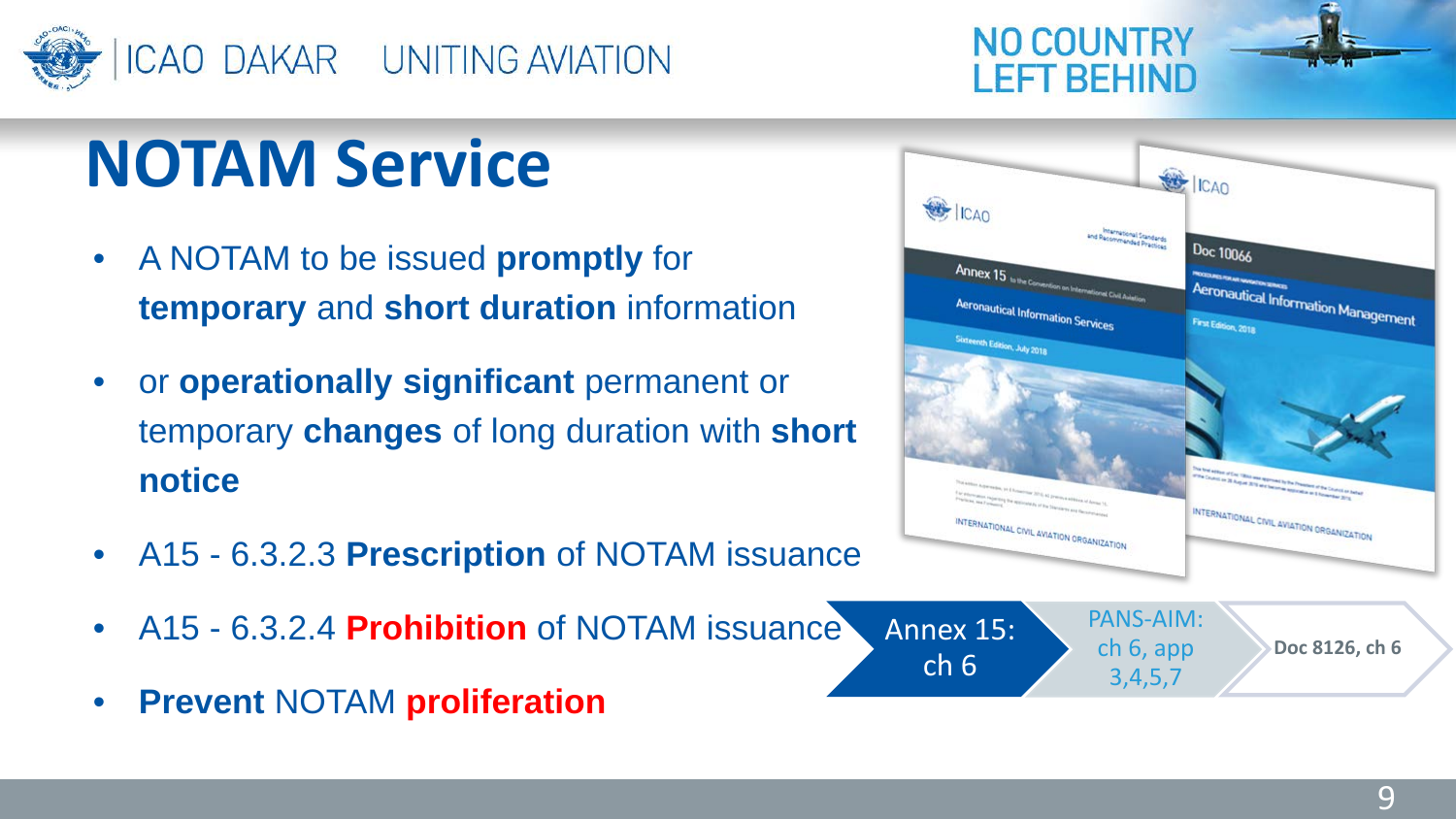

## **NOTAM Service**

- A NOTAM to be issued **promptly** for **temporary** and **short duration** information
- or **operationally significant** permanent or temporary **changes** of long duration with **short notice**
- A15 6.3.2.3 **Prescription** of NOTAM issuance
- A15 6.3.2.4 **Prohibition** of NOTAM issuance Annex 15: ch 6
- **Prevent** NOTAM **proliferation**



**NO COUNTRY** 

**LEFT BEHIND** 

PANS-AIM: ch 6, app 3,4,5,7

**Doc 8126, ch 6**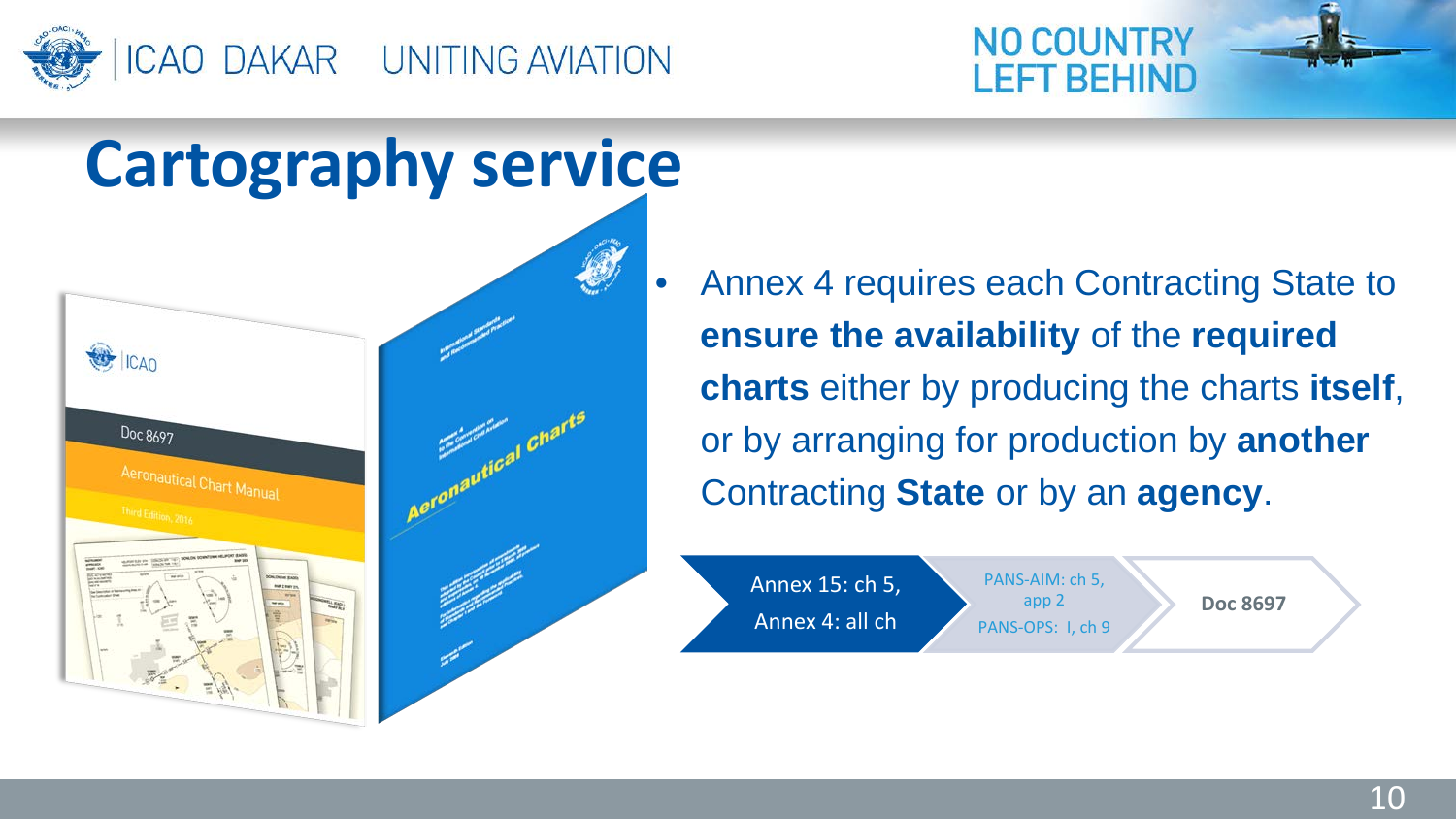



• Annex 4 requires each Contracting State to **ensure the availability** of the **required charts** either by producing the charts **itself**, or by arranging for production by **another** Contracting **State** or by an **agency**.

r REHIND

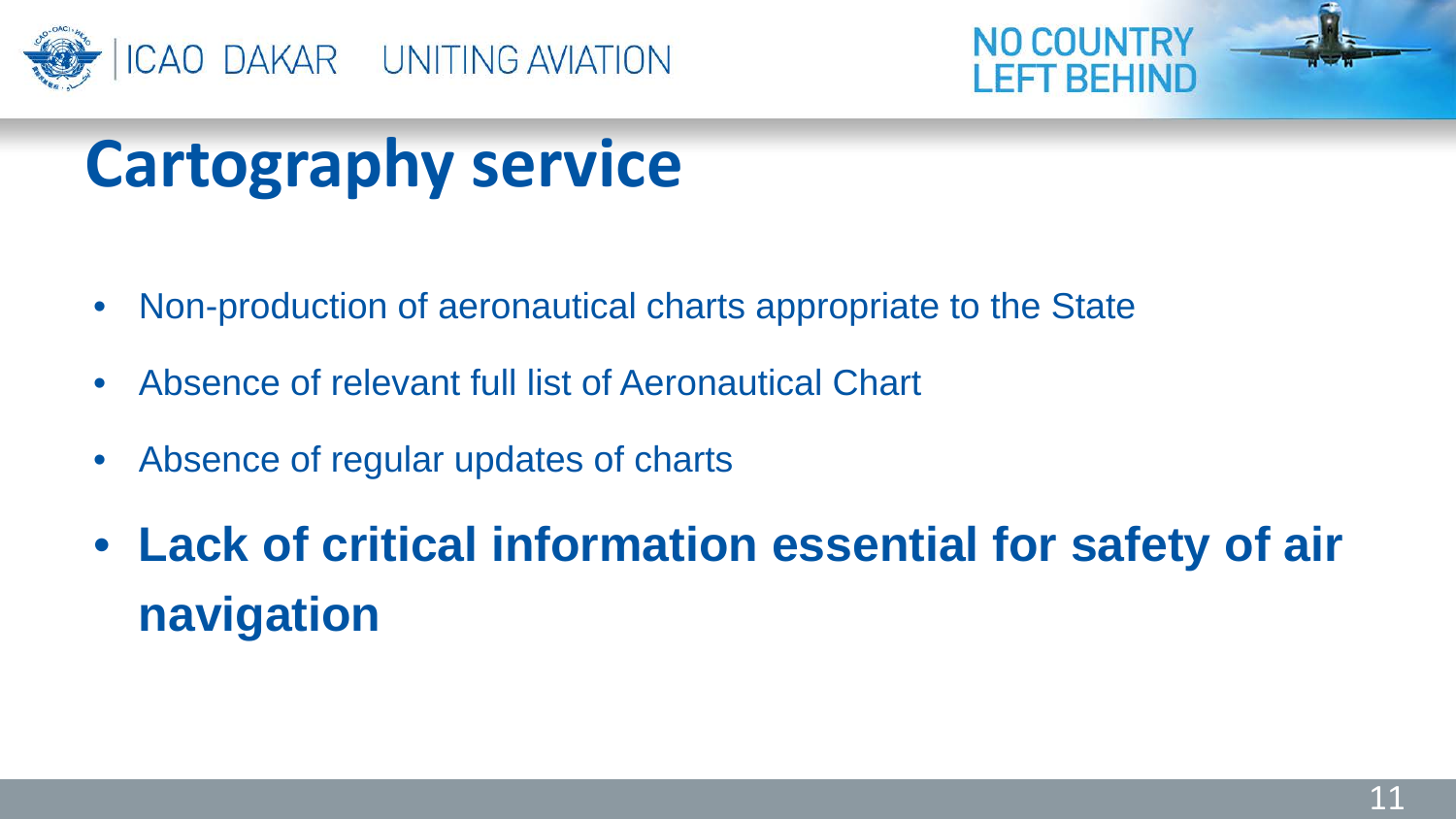



## **Cartography service**

- Non-production of aeronautical charts appropriate to the State
- Absence of relevant full list of Aeronautical Chart
- Absence of regular updates of charts
- **Lack of critical information essential for safety of air navigation**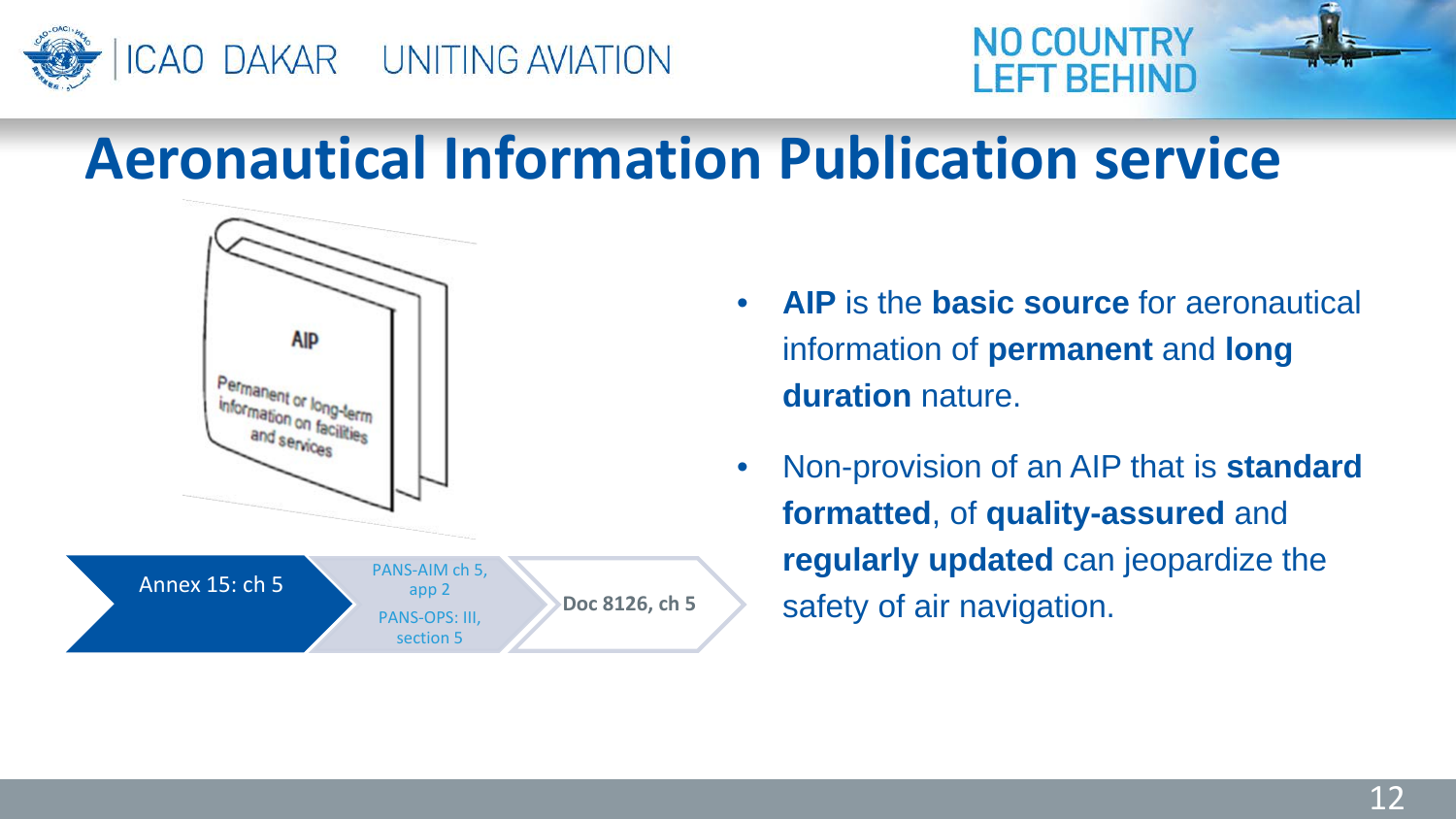



#### **Aeronautical Information Publication service**



- **AIP** is the **basic source** for aeronautical information of **permanent** and **long duration** nature.
- Non-provision of an AIP that is **standard formatted**, of **quality-assured** and **regularly updated** can jeopardize the safety of air navigation.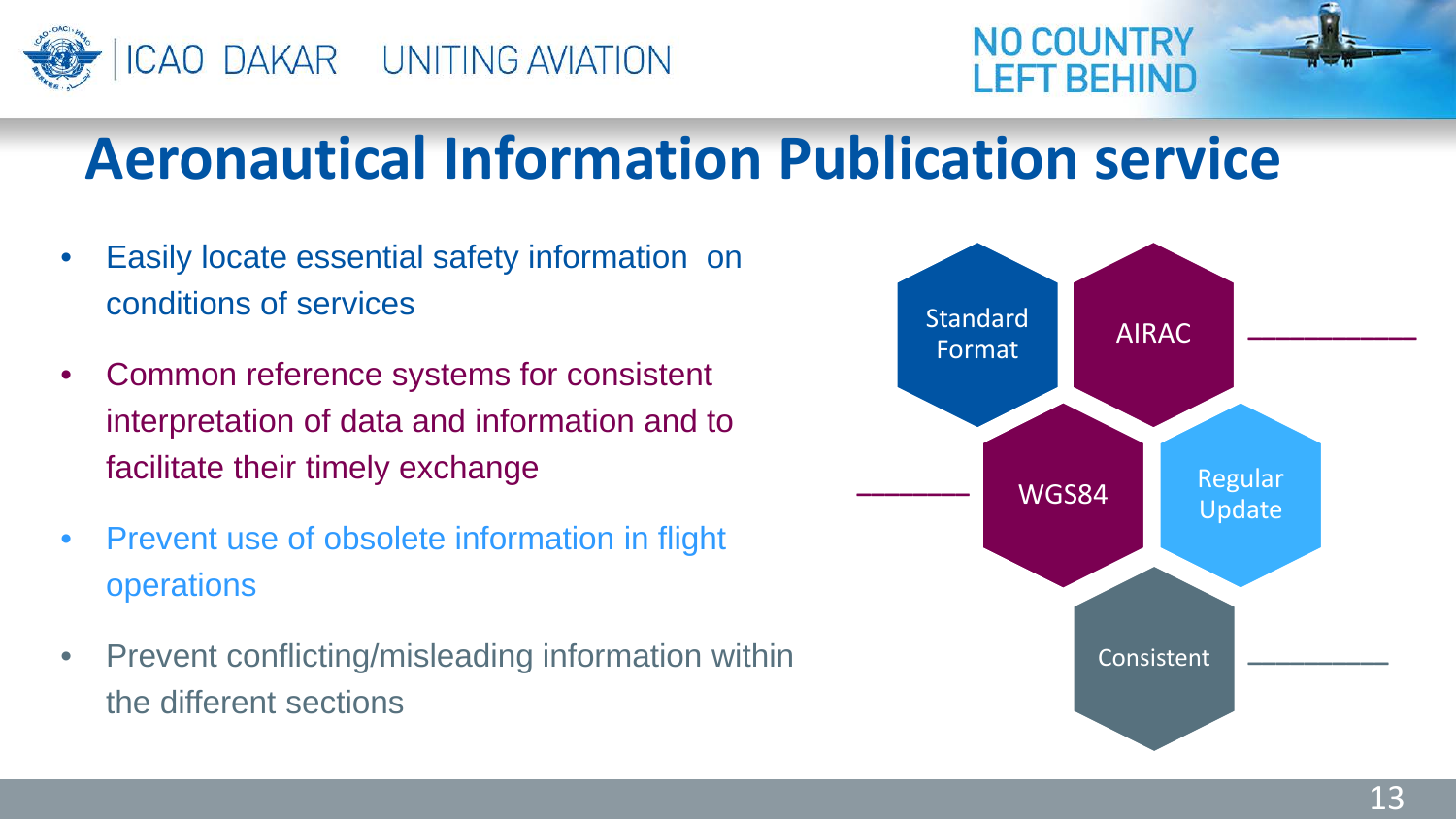



#### **Aeronautical Information Publication service**

- Easily locate essential safety information on conditions of services
- Common reference systems for consistent interpretation of data and information and to facilitate their timely exchange
- Prevent use of obsolete information in flight operations
- Prevent conflicting/misleading information within the different sections

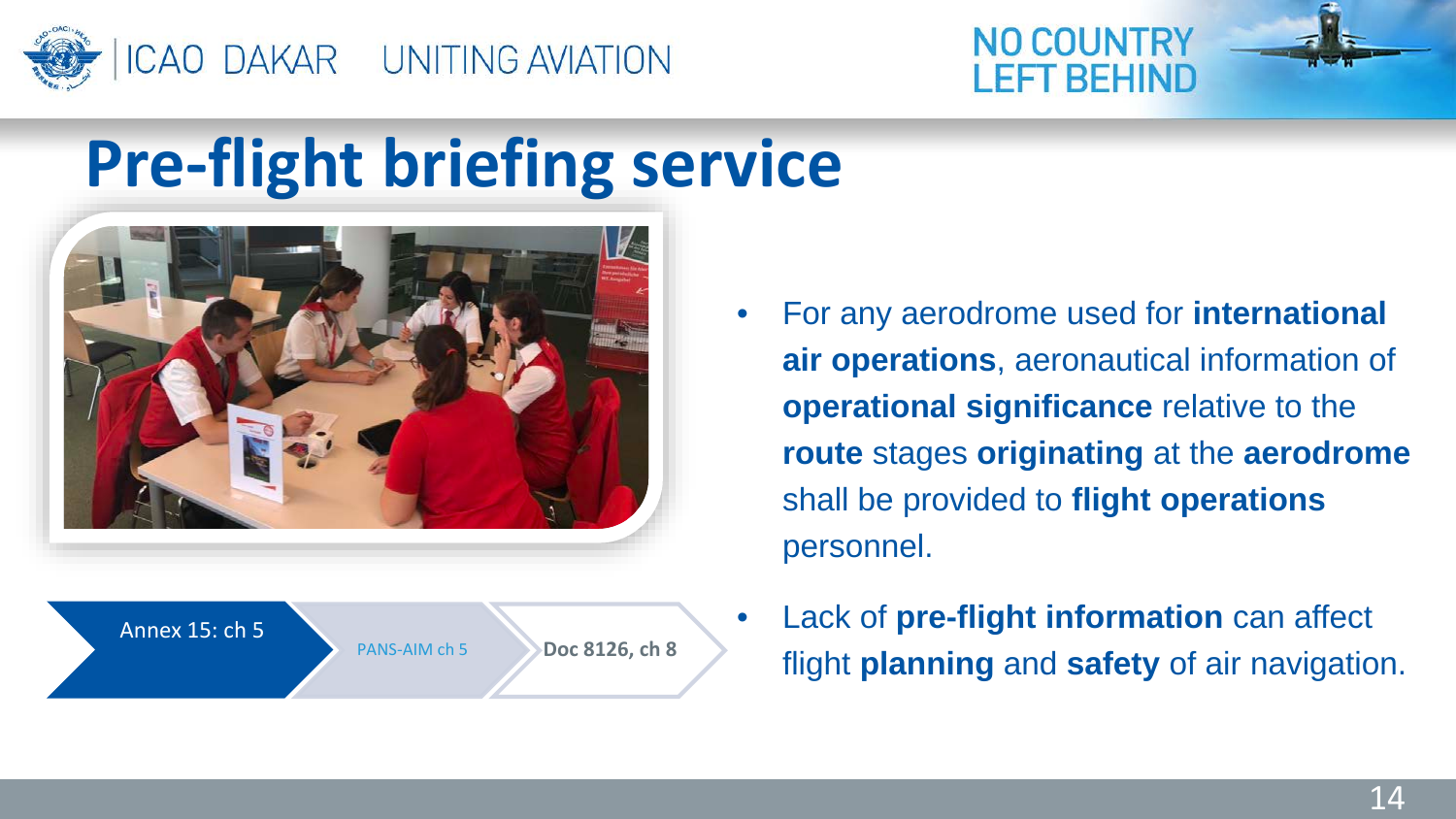



#### **Pre-flight briefing service**





- For any aerodrome used for **international air operations**, aeronautical information of **operational significance** relative to the **route** stages **originating** at the **aerodrome** shall be provided to **flight operations**  personnel.
- Lack of **pre-flight information** can affect flight **planning** and **safety** of air navigation.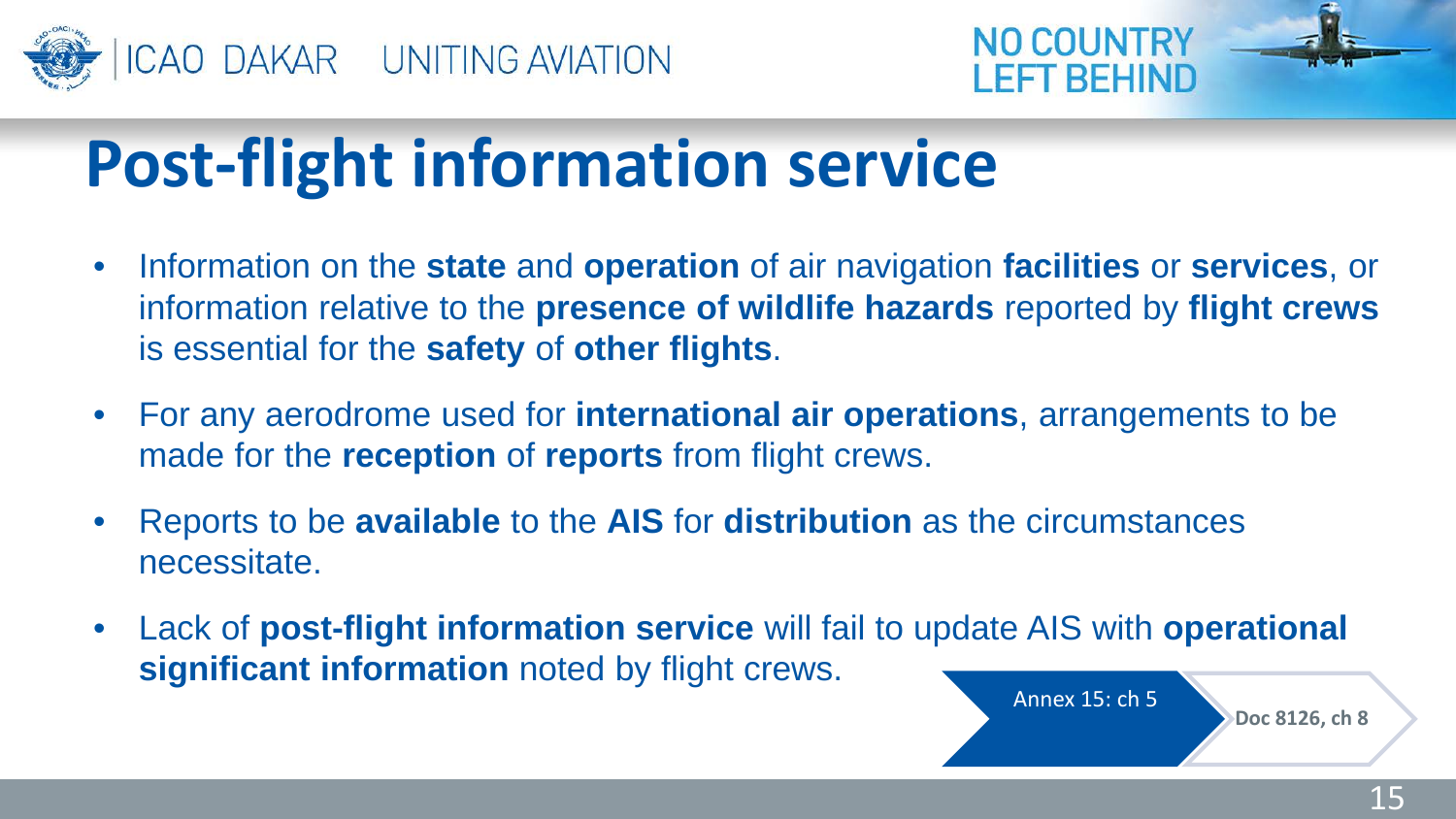



## **Post-flight information service**

- Information on the **state** and **operation** of air navigation **facilities** or **services**, or information relative to the **presence of wildlife hazards** reported by **flight crews**  is essential for the **safety** of **other flights**.
- For any aerodrome used for **international air operations**, arrangements to be made for the **reception** of **reports** from flight crews.
- Reports to be **available** to the **AIS** for **distribution** as the circumstances necessitate.
- Lack of **post-flight information service** will fail to update AIS with **operational significant information** noted by flight crews.



**Doc 8126, ch 8**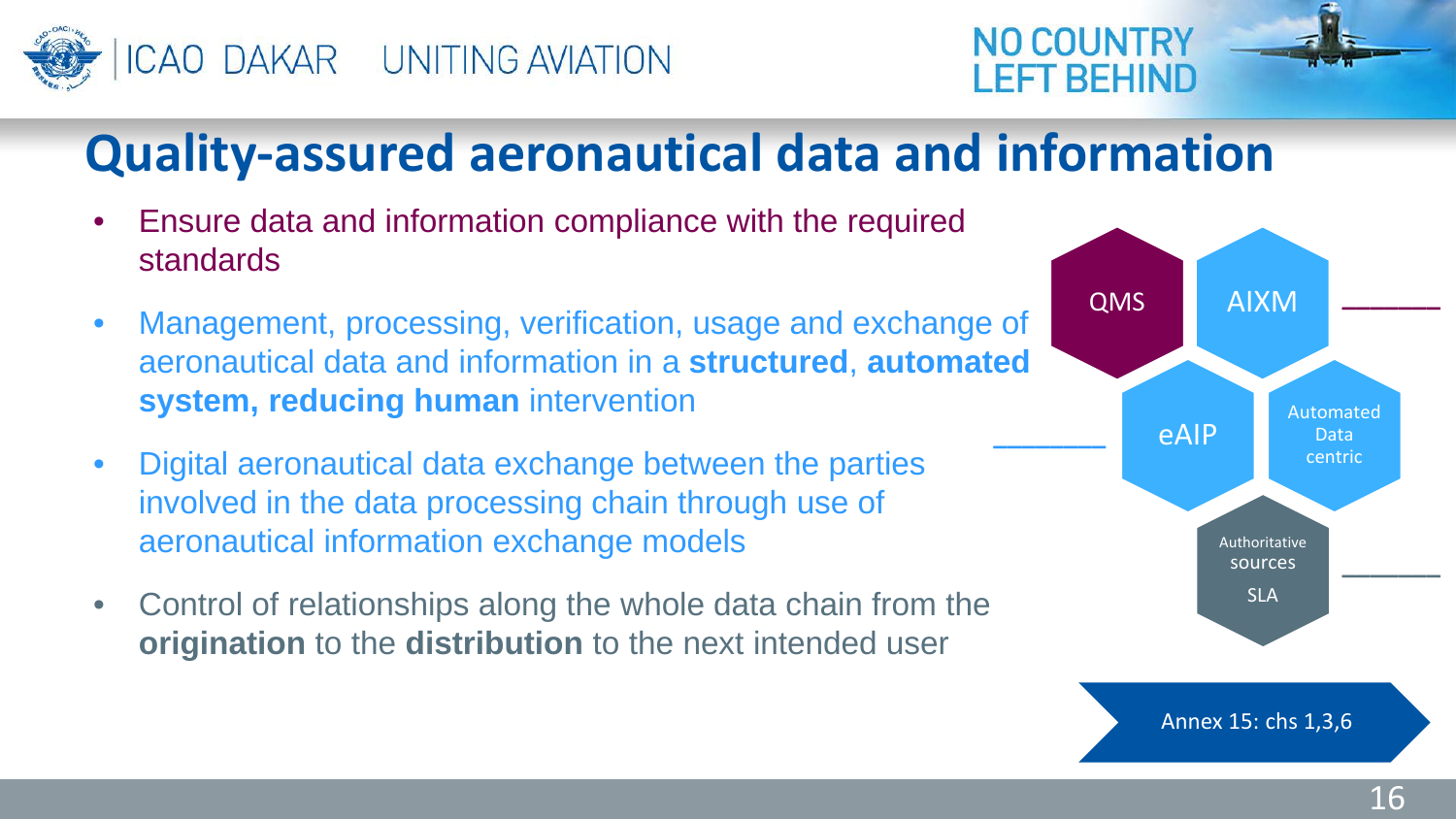



#### **Quality-assured aeronautical data and information**

- Ensure data and information compliance with the required standards
- Management, processing, verification, usage and exchange of aeronautical data and information in a **structured**, **automated system, reducing human** intervention
- Digital aeronautical data exchange between the parties involved in the data processing chain through use of aeronautical information exchange models
- Control of relationships along the whole data chain from the **origination** to the **distribution** to the next intended user

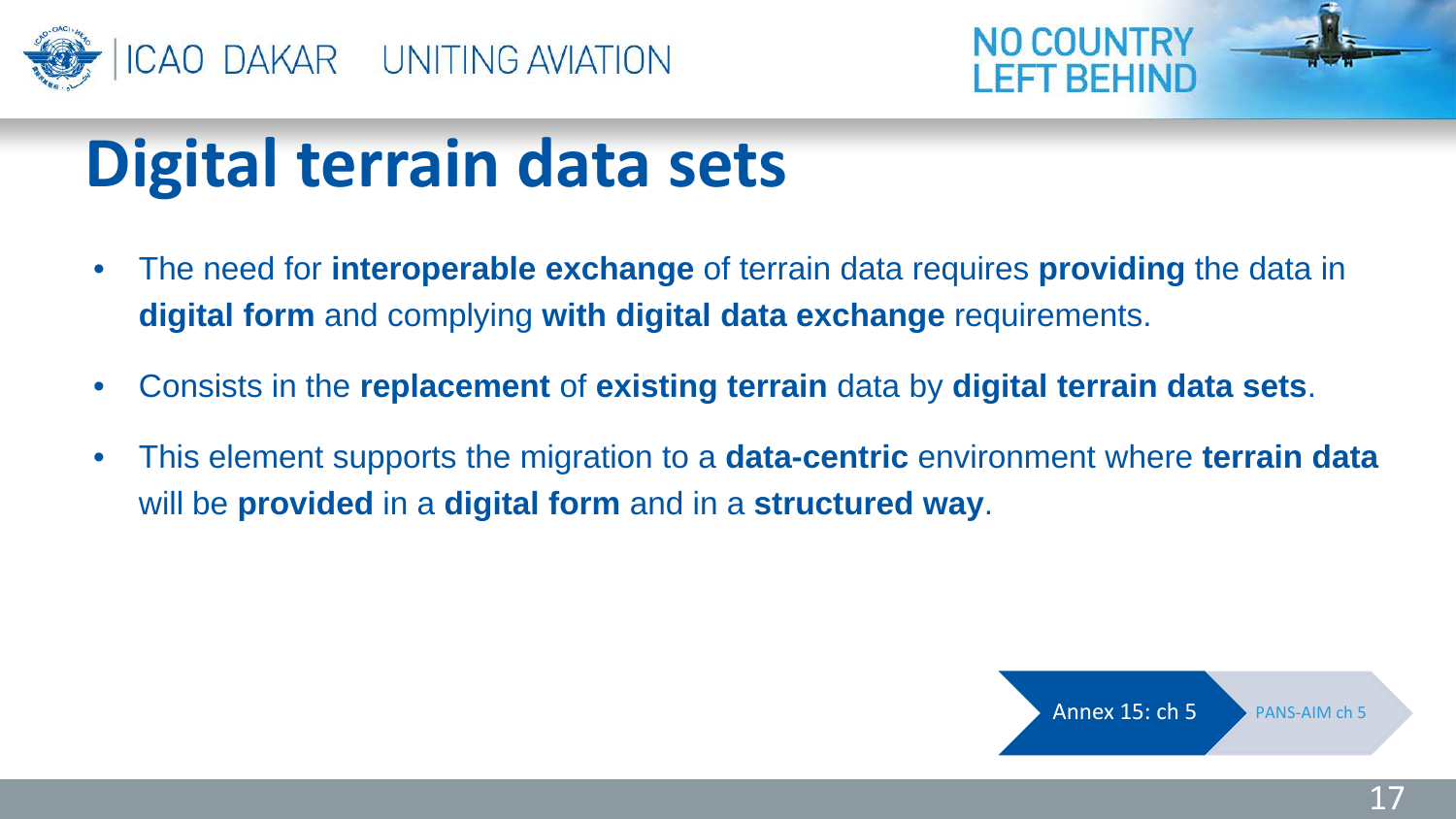



## **Digital terrain data sets**

- The need for **interoperable exchange** of terrain data requires **providing** the data in **digital form** and complying **with digital data exchange** requirements.
- Consists in the **replacement** of **existing terrain** data by **digital terrain data sets**.
- This element supports the migration to a **data-centric** environment where **terrain data**  will be **provided** in a **digital form** and in a **structured way**.

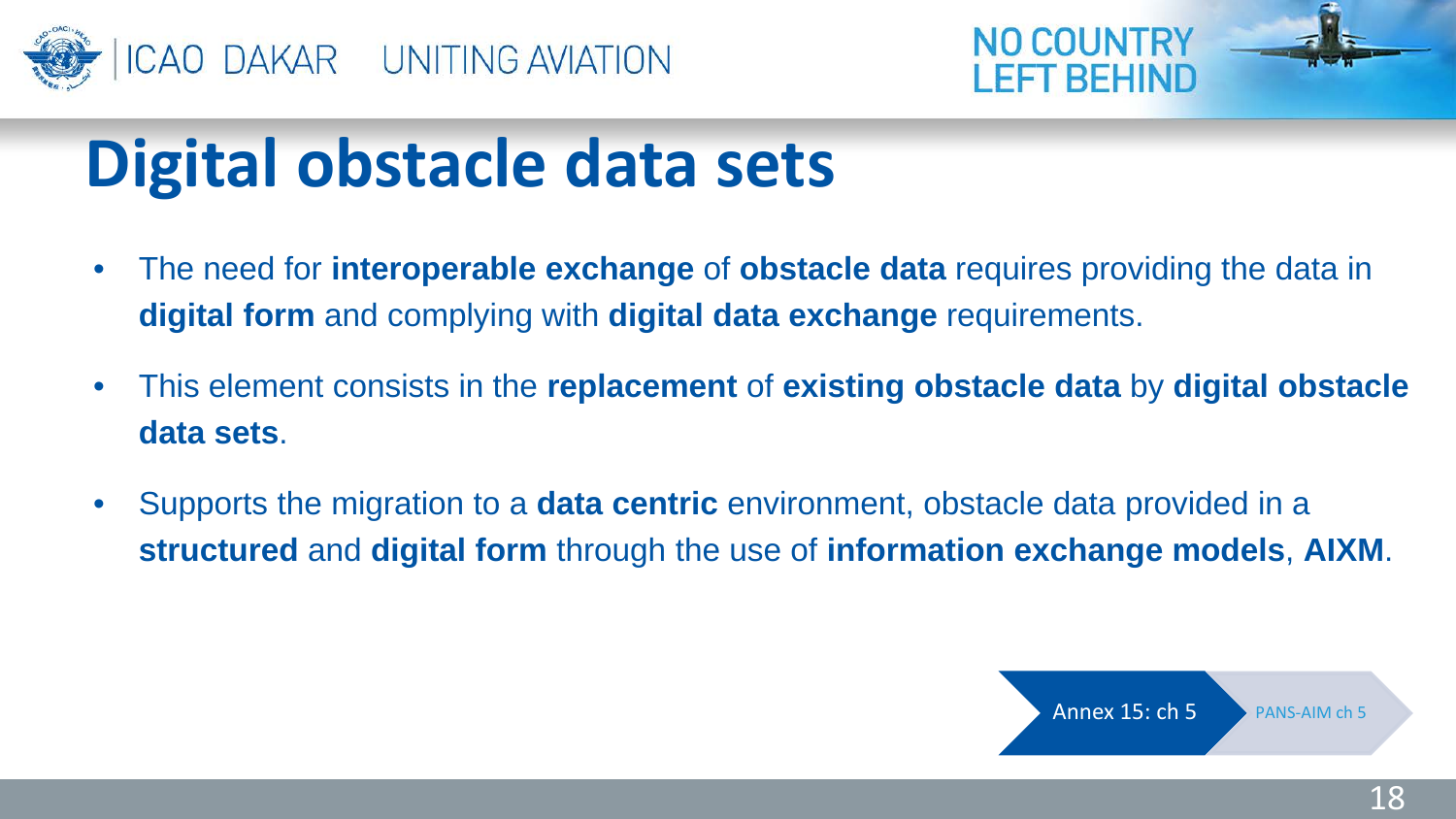



## **Digital obstacle data sets**

- The need for **interoperable exchange** of **obstacle data** requires providing the data in **digital form** and complying with **digital data exchange** requirements.
- This element consists in the **replacement** of **existing obstacle data** by **digital obstacle data sets**.
- Supports the migration to a **data centric** environment, obstacle data provided in a **structured** and **digital form** through the use of **information exchange models**, **AIXM**.